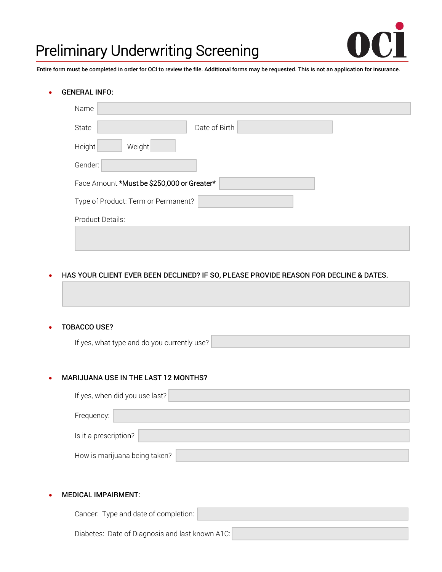

# Preliminary Underwriting Screening

Entire form must be completed in order for OCI to review the file. Additional forms may be requested. This is not an application for insurance.

#### • GENERAL INFO:

| Name                                       |               |  |  |  |
|--------------------------------------------|---------------|--|--|--|
| State                                      | Date of Birth |  |  |  |
| Weight<br>Height                           |               |  |  |  |
| Gender:                                    |               |  |  |  |
| Face Amount *Must be \$250,000 or Greater* |               |  |  |  |
| Type of Product: Term or Permanent?        |               |  |  |  |
| Product Details:                           |               |  |  |  |
|                                            |               |  |  |  |

## • HAS YOUR CLIENT EVER BEEN DECLINED? IF SO, PLEASE PROVIDE REASON FOR DECLINE & DATES.

## • TOBACCO USE?

If yes, what type and do you currently use?

# • MARIJUANA USE IN THE LAST 12 MONTHS?

| If yes, when did you use last? |  |  |  |  |
|--------------------------------|--|--|--|--|
| Frequency:                     |  |  |  |  |
| Is it a prescription?          |  |  |  |  |
| How is marijuana being taken?  |  |  |  |  |

## • MEDICAL IMPAIRMENT:

| Cancer: Type and date of completion:            |  |
|-------------------------------------------------|--|
|                                                 |  |
| Diabetes: Date of Diagnosis and last known A1C: |  |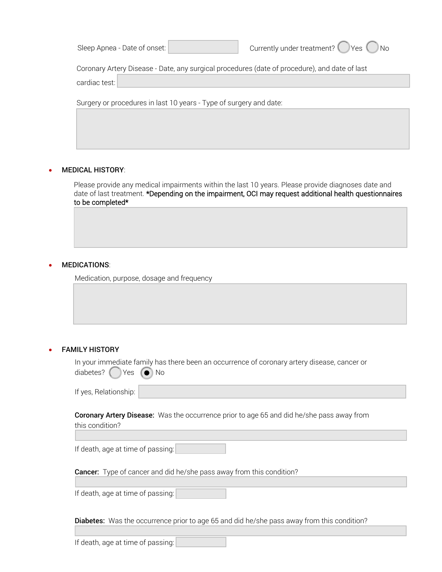| Sleep Apnea - Date of onset: |  |  |
|------------------------------|--|--|
|                              |  |  |

Coronary Artery Disease - Date, any surgical procedures (date of procedure), and date of last

cardiac test:

Surgery or procedures in last 10 years - Type of surgery and date:

#### • MEDICAL HISTORY:

Please provide any medical impairments within the last 10 years. Please provide diagnoses date and date of last treatment. \*Depending on the impairment, OCI may request additional health questionnaires to be completed\*

#### • MEDICATIONS:

Medication, purpose, dosage and frequency

## **FAMILY HISTORY**

In your immediate family has there been an occurrence of coronary artery disease, cancer or diabetes?  $($  Yes  $($   $)$  No

| If yes, Relationship: |  |
|-----------------------|--|
|                       |  |

Coronary Artery Disease: Was the occurrence prior to age 65 and did he/she pass away from this condition?

If death, age at time of passing:

**Cancer:** Type of cancer and did he/she pass away from this condition?

If death, age at time of passing:

Diabetes: Was the occurrence prior to age 65 and did he/she pass away from this condition?

If death, age at time of passing: